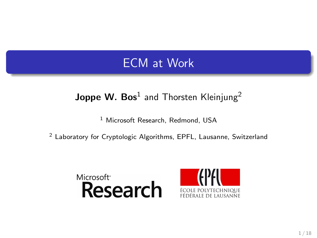### ECM at Work

### Joppe W. Bos $^1$  and Thorsten Kleinjung $^2$

<sup>1</sup> Microsoft Research, Redmond, USA

<sup>2</sup> Laboratory for Cryptologic Algorithms, EPFL, Lausanne, Switzerland



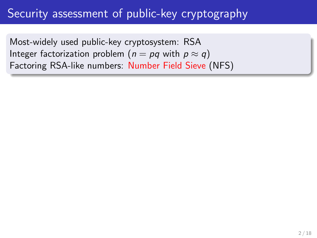## Security assessment of public-key cryptography

Most-widely used public-key cryptosystem: RSA Integer factorization problem ( $n = pq$  with  $p \approx q$ ) Factoring RSA-like numbers: Number Field Sieve (NFS)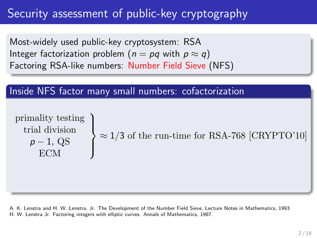# Security assessment of public-key cryptography

Most-widely used public-key cryptosystem: RSA Integer factorization problem ( $n = pq$  with  $p \approx q$ ) Factoring RSA-like numbers: Number Field Sieve (NFS)

#### Inside NFS factor many small numbers: cofactorization

primality testing  
\ntrial division  
\n
$$
\rho - 1
$$
, QS  
\nECM

\n $\left.\begin{array}{c}\right\}$   $\approx 1/3$  of the run-time for RSA-768 [CRYPTO'10]  
\nECM

A. K. Lenstra and H. W. Lenstra, Jr. The Development of the Number Field Sieve, Lecture Notes in Mathematics, 1993 H. W. Lenstra Jr. Factoring integers with elliptic curves. Annals of Mathematics, 1987.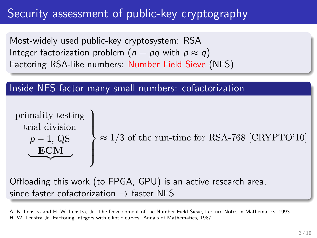# Security assessment of public-key cryptography

Most-widely used public-key cryptosystem: RSA Integer factorization problem ( $n = pq$  with  $p \approx q$ ) Factoring RSA-like numbers: Number Field Sieve (NFS)

#### Inside NFS factor many small numbers: cofactorization

$$
\begin{array}{c}\n \text{primality testing} \\
 \begin{array}{c}\n \text{trial division} \\
 \hline\n \text{p} - 1, \text{QS} \\
 \hline\n \text{ECM}\n \end{array}\n \end{array}\n \approx 1/3 \text{ of the run-time for RSA-768 [CRYPTO'10]}
$$

Offloading this work (to FPGA, GPU) is an active research area, since faster cofactorization  $\rightarrow$  faster NFS

A. K. Lenstra and H. W. Lenstra, Jr. The Development of the Number Field Sieve, Lecture Notes in Mathematics, 1993 H. W. Lenstra Jr. Factoring integers with elliptic curves. Annals of Mathematics, 1987.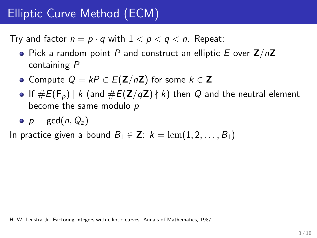# Elliptic Curve Method (ECM)

Try and factor  $n = p \cdot q$  with  $1 < p < q < n$ . Repeat:

- Pick a random point P and construct an elliptic E over  $Z/nZ$ containing P
- Compute  $Q = kP \in E(\mathbf{Z}/n\mathbf{Z})$  for some  $k \in \mathbf{Z}$
- If  $\#E(\mathbf{F}_p) \mid k$  (and  $\#E(\mathbf{Z}/q\mathbf{Z}) \nmid k$ ) then Q and the neutral element become the same modulo p
- $p = \gcd(n, Q_z)$

In practice given a bound  $B_1 \in \mathbb{Z}: k = \text{lcm}(1, 2, \ldots, B_1)$ 

H. W. Lenstra Jr. Factoring integers with elliptic curves. Annals of Mathematics, 1987.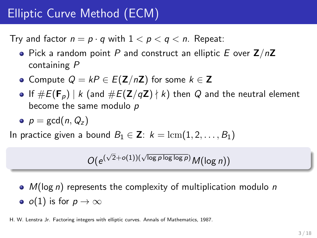# Elliptic Curve Method (ECM)

Try and factor  $n = p \cdot q$  with  $1 < p < q < n$ . Repeat:

- Pick a random point P and construct an elliptic E over  $Z/nZ$ containing P
- Compute  $Q = kP \in E(\mathbf{Z}/n\mathbf{Z})$  for some  $k \in \mathbf{Z}$
- If  $\#E(\mathbf{F}_p) \mid k$  (and  $\#E(\mathbf{Z}/q\mathbf{Z}) \nmid k$ ) then Q and the neutral element become the same modulo p
- $p = \gcd(n, Q_z)$

In practice given a bound  $B_1 \in \mathbb{Z}: k = \text{lcm}(1, 2, \ldots, B_1)$ 

$$
O(e^{(\sqrt{2}+o(1))(\sqrt{\log p \log \log p})}M(\log n))
$$

 $\bullet$   $M(\log n)$  represents the complexity of multiplication modulo n •  $o(1)$  is for  $p \to \infty$ 

H. W. Lenstra Jr. Factoring integers with elliptic curves. Annals of Mathematics, 1987.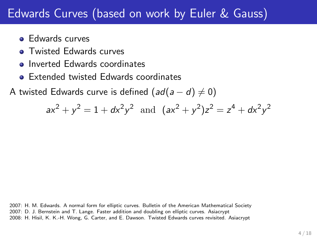# Edwards Curves (based on work by Euler & Gauss)

- **e** Edwards curves
- **Twisted Edwards curves**
- **o** Inverted Edwards coordinates
- **Extended twisted Edwards coordinates**

A twisted Edwards curve is defined  $(ad(a-d) \neq 0)$ 

$$
ax^2 + y^2 = 1 + dx^2y^2
$$
 and  $(ax^2 + y^2)z^2 = z^4 + dx^2y^2$ 

2007: H. M. Edwards. A normal form for elliptic curves. Bulletin of the American Mathematical Society 2007: D. J. Bernstein and T. Lange. Faster addition and doubling on elliptic curves. Asiacrypt 2008: H. Hisil, K. K.-H. Wong, G. Carter, and E. Dawson. Twisted Edwards curves revisited. Asiacrypt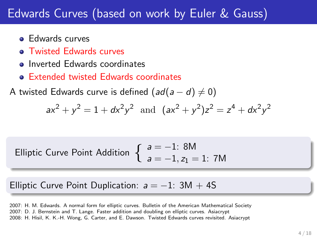# Edwards Curves (based on work by Euler & Gauss)

- **Edwards curves**
- **Twisted Edwards curves**
- **o** Inverted Edwards coordinates
- Extended twisted Edwards coordinates

A twisted Edwards curve is defined  $(ad(a-d) \neq 0)$ 

$$
ax^2 + y^2 = 1 + dx^2y^2
$$
 and  $(ax^2 + y^2)z^2 = z^4 + dx^2y^2$ 

Elliptic Curve Point Addition 
$$
\begin{cases} a = -1: 8M \\ a = -1, z_1 = 1: 7M \end{cases}
$$

Elliptic Curve Point Duplication:  $a = -1$ : 3M + 4S

2007: H. M. Edwards. A normal form for elliptic curves. Bulletin of the American Mathematical Society 2007: D. J. Bernstein and T. Lange. Faster addition and doubling on elliptic curves. Asiacrypt 2008: H. Hisil, K. K.-H. Wong, G. Carter, and E. Dawson. Twisted Edwards curves revisited. Asiacrypt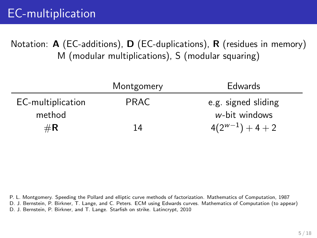# EC-multiplication

Notation: A (EC-additions), D (EC-duplications), R (residues in memory) M (modular multiplications), S (modular squaring)

|                   | Montgomery  | <b>Edwards</b>      |
|-------------------|-------------|---------------------|
| EC-multiplication | <b>PRAC</b> | e.g. signed sliding |
| method            |             | w-bit windows       |
| $\#R$             | 14          | $4(2^{w-1})+4+2$    |

P. L. Montgomery. Speeding the Pollard and elliptic curve methods of factorization. Mathematics of Computation, 1987 D. J. Bernstein, P. Birkner, T. Lange, and C. Peters. ECM using Edwards curves. Mathematics of Computation (to appear) D. J. Bernstein, P. Birkner, and T. Lange. Starfish on strike. Latincrypt, 2010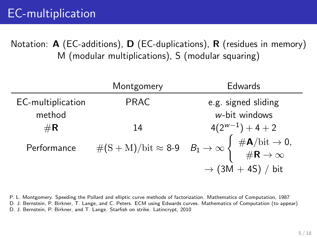Notation: A (EC-additions), D (EC-duplications), R (residues in memory) M (modular multiplications), S (modular squaring)

|                   | Montgomery  | Edwards                                                                                                                                                                    |
|-------------------|-------------|----------------------------------------------------------------------------------------------------------------------------------------------------------------------------|
| EC-multiplication | <b>PRAC</b> | e.g. signed sliding                                                                                                                                                        |
| method            |             | $w$ -bit windows                                                                                                                                                           |
| $\#\mathbf{R}$    |             | $4(2^{w-1})+4+2$                                                                                                                                                           |
| Performance       |             | 14<br>$\#(\text{S} + \text{M})/\text{bit} \approx 8\text{-}9$ $B_1 \rightarrow \infty$ $\begin{cases} \#A/\text{bit} \rightarrow 0, \\ \#R \rightarrow \infty \end{cases}$ |
|                   |             | $\rightarrow$ (3M + 4S) / bit                                                                                                                                              |

P. L. Montgomery. Speeding the Pollard and elliptic curve methods of factorization. Mathematics of Computation, 1987 D. J. Bernstein, P. Birkner, T. Lange, and C. Peters. ECM using Edwards curves. Mathematics of Computation (to appear) D. J. Bernstein, P. Birkner, and T. Lange. Starfish on strike. Latincrypt, 2010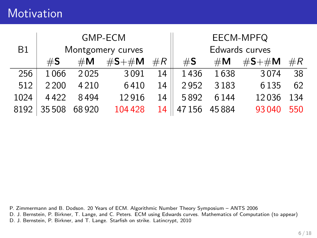## **Motivation**

|           | <b>GMP-ECM</b>    |                |             | EECM-MPFQ |                |                |             |       |
|-----------|-------------------|----------------|-------------|-----------|----------------|----------------|-------------|-------|
| <b>B1</b> | Montgomery curves |                |             |           |                | Edwards curves |             |       |
|           | $\#\mathsf{S}$    | $\#\mathsf{M}$ | $\#S + \#M$ | #R        | $\#\mathsf{S}$ | $\#\mathsf{M}$ | $\#S + \#M$ | $\#R$ |
| 256       | 1066              | 2025           | 3091        | 14        | 1436           | 1638           | 3074        | 38    |
| 512       | 2 2 0 0           | 4 2 1 0        | 6410        | 14        | 2952           | 3183           | 6 1 3 5     | 62    |
| 1024      | 4422              | 8494           | 12916       | 14        | 5892           | 6144           | 12036       | 134   |
| 8192      | 35 508            | 68920          | 104 428     | 14        | 47156          | 45884          | 93 040      | 550   |

P. Zimmermann and B. Dodson. 20 Years of ECM. Algorithmic Number Theory Symposium – ANTS 2006 D. J. Bernstein, P. Birkner, T. Lange, and C. Peters. ECM using Edwards curves. Mathematics of Computation (to appear)

D. J. Bernstein, P. Birkner, and T. Lange. Starfish on strike. Latincrypt, 2010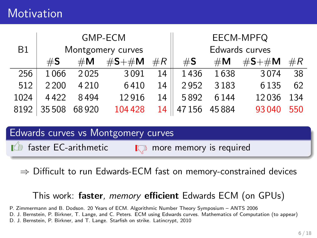## **Motivation**

| GMP-ECM |                   |                | EECM-MPFQ   |       |                |                |             |       |
|---------|-------------------|----------------|-------------|-------|----------------|----------------|-------------|-------|
| B1      | Montgomery curves |                |             |       |                | Edwards curves |             |       |
|         | #S                | $\#\mathsf{M}$ | $\#S + \#M$ | $\#R$ | $\#\mathsf{S}$ | $\#\mathsf{M}$ | $\#S + \#M$ | $\#R$ |
| 256     | 1066              | 2025           | 3091        | 14    | 1436           | 1638           | 3074        | 38    |
| 512     | 2 2 0 0           | 4 2 1 0        | 6410        | 14    | 2952           | 3183           | 6 1 3 5     | 62    |
| 1024    | 4422              | 8494           | 12916       | 14    | 5892           | 6144           | 12036       | 134   |
| 8192    | 35 508            | 68920          | 104 428     | 14    | 47156          | 45884          | 93 040      | 550   |

#### Edwards curves vs Montgomery curves

 $\Box$  faster EC-arithmetic  $\Box$  more memory is required

 $\Rightarrow$  Difficult to run Edwards-ECM fast on memory-constrained devices

#### This work: faster, memory efficient Edwards ECM (on GPUs)

P. Zimmermann and B. Dodson. 20 Years of ECM. Algorithmic Number Theory Symposium – ANTS 2006

D. J. Bernstein, P. Birkner, T. Lange, and C. Peters. ECM using Edwards curves. Mathematics of Computation (to appear)

D. J. Bernstein, P. Birkner, and T. Lange. Starfish on strike. Latincrypt, 2010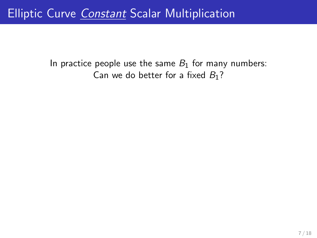In practice people use the same  $B_1$  for many numbers: Can we do better for a fixed  $B_1$ ?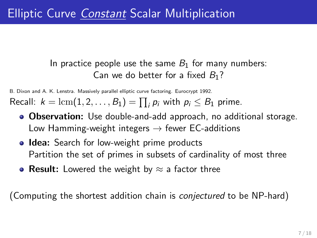#### In practice people use the same  $B_1$  for many numbers: Can we do better for a fixed  $B_1$ ?

B. Dixon and A. K. Lenstra. Massively parallel elliptic curve factoring. Eurocrypt 1992.

Recall:  $k = \text{lcm}(1, 2, \ldots, B_1) = \prod_i p_i$  with  $p_i \leq B_1$  prime.

- **Observation:** Use double-and-add approach, no additional storage. Low Hamming-weight integers  $\rightarrow$  fewer EC-additions
- **Idea:** Search for low-weight prime products Partition the set of primes in subsets of cardinality of most three
- Result: Lowered the weight by  $\approx$  a factor three

(Computing the shortest addition chain is conjectured to be NP-hard)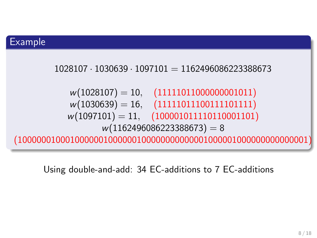#### Example



Using double-and-add: 34 EC-additions to 7 EC-additions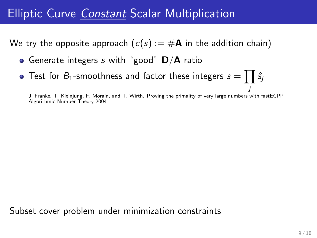### **Elliptic Curve Constant Scalar Multiplication**

We try the opposite approach  $(c(s) := #A$  in the addition chain)

- Generate integers s with "good"  $D/A$  ratio
- Test for  $\mathit{B}_{1}$ -smoothness and factor these integers  $s=\prod\hat{s}_{j}$

j J. Franke, T. Kleinjung, F. Morain, and T. Wirth. Proving the primality of very large numbers with fastECPP. Algorithmic Number Theory 2004

Subset cover problem under minimization constraints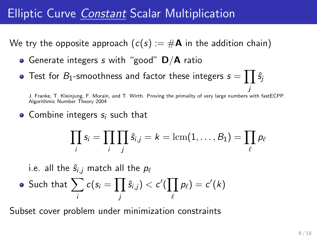### **Elliptic Curve Constant Scalar Multiplication**

We try the opposite approach  $(c(s) := #A$  in the addition chain)

- **•** Generate integers s with "good"  $D/A$  ratio
- Test for  $\mathit{B}_{1}$ -smoothness and factor these integers  $s=\prod\hat{s}_{j}$

j J. Franke, T. Kleinjung, F. Morain, and T. Wirth. Proving the primality of very large numbers with fastECPP. Algorithmic Number Theory 2004

• Combine integers  $s_i$  such that

$$
\prod_i s_i = \prod_i \prod_j \hat{s}_{i,j} = k = \text{lcm}(1,\ldots,B_1) = \prod_\ell p_\ell
$$

i.e. all the  $\hat{s}_{i,j}$  match all the  $p_\ell$ 

• Such that 
$$
\sum_{i} c(s_i = \prod_{j} \hat{s}_{i,j}) < c'(\prod_{\ell} p_{\ell}) = c'(k)
$$

Subset cover problem under minimization constraints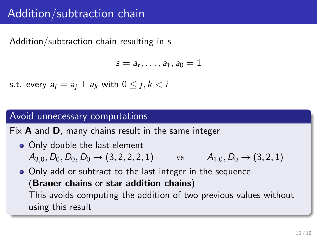## Addition/subtraction chain

Addition/subtraction chain resulting in s

$$
s=a_r,\ldots,a_1,a_0=1
$$

s.t. every  $a_i = a_i \pm a_k$  with  $0 \le i, k \le i$ 

#### Avoid unnecessary computations

Fix **A** and **D**, many chains result in the same integer

• Only double the last element  $A_{3,0}, D_0, D_0, D_0 \rightarrow (3, 2, 2, 2, 1)$  vs  $A_{1,0}, D_0 \rightarrow (3, 2, 1)$ 

Only add or subtract to the last integer in the sequence (Brauer chains or star addition chains) This avoids computing the addition of two previous values without using this result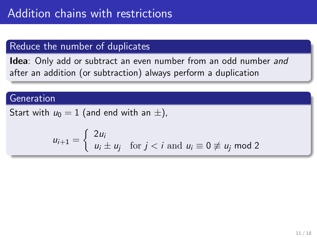#### Reduce the number of duplicates

Idea: Only add or subtract an even number from an odd number and after an addition (or subtraction) always perform a duplication

#### Generation

Start with  $u_0 = 1$  (and end with an  $\pm$ ),

$$
u_{i+1} = \begin{cases} 2u_i \\ u_i \pm u_j \quad \text{for } j < i \text{ and } u_i \equiv 0 \not\equiv u_j \text{ mod } 2 \end{cases}
$$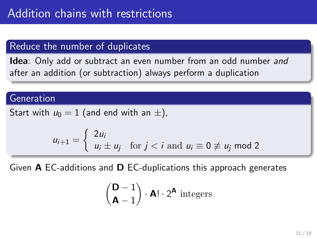#### Reduce the number of duplicates

Idea: Only add or subtract an even number from an odd number and after an addition (or subtraction) always perform a duplication

#### Generation

Start with  $u_0 = 1$  (and end with an  $\pm$ ),

$$
u_{i+1} = \begin{cases} 2u_i \\ u_i \pm u_j \quad \text{for } j < i \text{ and } u_i \equiv 0 \not\equiv u_j \text{ mod } 2 \end{cases}
$$

Given A EC-additions and D EC-duplications this approach generates

$$
\binom{\textbf{D}-1}{\textbf{A}-1}\cdot\textbf{A}!\cdot 2^{\textbf{A}}\ \text{integers}
$$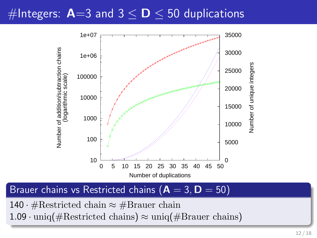# #Integers:  $A=3$  and  $3 \le D \le 50$  duplications



Brauer chains vs Restricted chains ( $A = 3$ ,  $D = 50$ )

140 · #Restricted chain ≈ #Brauer chain

 $1.09 \cdot \text{uniq}(\text{\#Restricted chains}) \approx \text{uniq}(\text{\#Brauer chains})$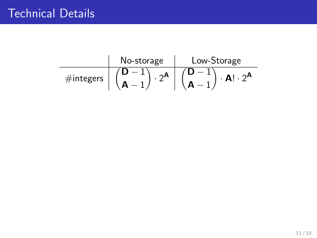$$
\begin{array}{c|c|c} & \text{No-storage} & \text{Low-Storage} \\ \hline \hline \text{\#integers} & \left( \begin{array}{c|c} \mathbf{D}-1 \\ \mathbf{A}-1 \end{array} \right) \cdot 2^{\mathbf{A}} & \left( \begin{array}{c|c} \mathbf{D}-1 \\ \mathbf{A}-1 \end{array} \right) \cdot \mathbf{A}! \cdot 2^{\mathbf{A}} \end{array}
$$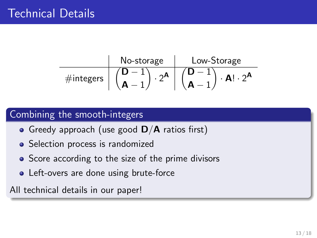$$
\begin{array}{c|c|c} & \text{No-storage} & \text{Low-Storage} \\ \hline \text{\#integers} & \left(\begin{array}{c} \textbf{D}-1 \\ \textbf{A}-1 \end{array}\right) \cdot 2^{\textbf{A}} & \left(\begin{array}{c} \textbf{D}-1 \\ \textbf{A}-1 \end{array}\right) \cdot \textbf{A}! \cdot 2^{\textbf{A}} \end{array}
$$

#### Combining the smooth-integers

- Greedy approach (use good  $D/A$  ratios first)
- Selection process is randomized
- Score according to the size of the prime divisors
- Left-overs are done using brute-force

All technical details in our paper!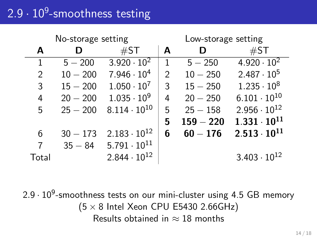# 2.9  $\cdot$   $10^9$ -smoothness testing

| No-storage setting |            |                       |               | Low-storage setting |                       |
|--------------------|------------|-----------------------|---------------|---------------------|-----------------------|
| A                  | D          | #ST                   | A             | D                   | $\#ST$                |
| $\mathbf{1}$       | $5 - 200$  | $3.920 \cdot 10^{2}$  | $\mathbf{1}$  | $5 - 250$           | $4.920 \cdot 10^{2}$  |
| 2                  | $10 - 200$ | $7.946 \cdot 10^{4}$  | $\mathcal{P}$ | $10 - 250$          | $2.487 \cdot 10^5$    |
| 3                  | $15 - 200$ | $1.050 \cdot 10^7$    | 3             | $15 - 250$          | $1.235 \cdot 10^8$    |
| 4                  | $20 - 200$ | $1.035 \cdot 10^{9}$  | 4             | $20 - 250$          | $6.101 \cdot 10^{10}$ |
| 5                  | $25 - 200$ | $8.114 \cdot 10^{10}$ | 5             | $25 - 158$          | $2.956 \cdot 10^{12}$ |
|                    |            |                       | 5             | $159 - 220$         | $1.331 \cdot 10^{11}$ |
| 6                  | $30 - 173$ | $2.183 \cdot 10^{12}$ | 6             | $60 - 176$          | $2.513 \cdot 10^{11}$ |
| 7                  | $35 - 84$  | $5.791 \cdot 10^{11}$ |               |                     |                       |
| Total              |            | $2.844 \cdot 10^{12}$ |               |                     | $3.403 \cdot 10^{12}$ |

 $2.9 \cdot 10^9$ -smoothness tests on our mini-cluster using 4.5 GB memory  $(5 \times 8$  Intel Xeon CPU E5430 2.66GHz) Results obtained in  $\approx$  18 months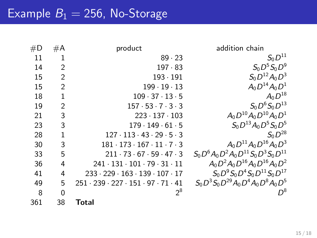| #D  | #A             | product                                                        | addition chain                                  |
|-----|----------------|----------------------------------------------------------------|-------------------------------------------------|
| 11  | 1              | 89.23                                                          | $S_0D^{11}$                                     |
| 14  | $\overline{2}$ | $197 \cdot 83$                                                 | $S_0D^5S_0D^9$                                  |
| 15  | $\overline{2}$ | $193 \cdot 191$                                                | $S_0D^{12}A_0D^3$                               |
| 15  | $\overline{2}$ | $199 \cdot 19 \cdot 13$                                        | $A_0D^{14}A_0D^1$                               |
| 18  | $\mathbf{1}$   | $109 \cdot 37 \cdot 13 \cdot 5$                                | $A_0D^{18}$                                     |
| 19  | $\overline{2}$ | $157 \cdot 53 \cdot 7 \cdot 3 \cdot 3$                         | $S_0 D^6 S_0 D^{13}$                            |
| 21  | 3              | $223 \cdot 137 \cdot 103$                                      | $A_0D^{10}A_0D^{10}A_0D^1$                      |
| 23  | 3              | $179 \cdot 149 \cdot 61 \cdot 5$                               | $S_0 D^{13} A_0 D^5 S_0 D^5$                    |
| 28  | 1              | $127 \cdot 113 \cdot 43 \cdot 29 \cdot 5 \cdot 3$              | $S_0D^{28}$                                     |
| 30  | 3              | $181 \cdot 173 \cdot 167 \cdot 11 \cdot 7 \cdot 3$             | $A_0D^{11}A_0D^{16}A_0D^3$                      |
| 33  | 5              | $211 \cdot 73 \cdot 67 \cdot 59 \cdot 47 \cdot 3$              | $S_0 D^6 A_0 D^2 A_0 D^{11} S_0 D^3 S_0 D^{11}$ |
| 36  | 4              | $241 \cdot 131 \cdot 101 \cdot 79 \cdot 31 \cdot 11$           | $A_0D^2A_0D^{16}A_0D^{16}A_0D^2$                |
| 41  | 4              | $233 \cdot 229 \cdot 163 \cdot 139 \cdot 107 \cdot 17$         | $S_0 D^9 S_0 D^4 S_0 D^{11} S_0 D^{17}$         |
| 49  | 5              | $251 \cdot 239 \cdot 227 \cdot 151 \cdot 97 \cdot 71 \cdot 41$ | $S_0 D^3 S_0 D^{29} A_0 D^4 A_0 D^8 A_0 D^5$    |
| 8   | 0              | $2^8$                                                          | $D^8$                                           |
| 361 | 38             | Total                                                          |                                                 |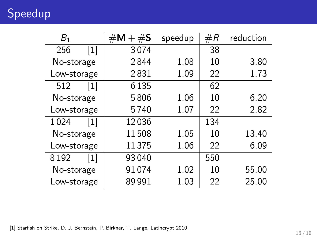Speedup

| B <sub>1</sub> |       | $\#\mathsf{M} + \#\mathsf{S}$ | speedup | $\#R$ | reduction |
|----------------|-------|-------------------------------|---------|-------|-----------|
| 256            | $[1]$ | 3074                          |         | 38    |           |
| No-storage     |       | 2844                          | 1.08    | 10    | 3.80      |
| Low-storage    |       | 2831                          | 1.09    | 22    | 1.73      |
| 512            | $[1]$ | 6 1 3 5                       |         | 62    |           |
| No-storage     |       | 5806                          | 1.06    | 10    | 6.20      |
| Low-storage    |       | 5740                          | 1.07    | 22    | 2.82      |
| 1024           | $[1]$ | 12036                         |         | 134   |           |
| No-storage     |       | 11508                         | 1.05    | 10    | 13.40     |
| Low-storage    |       | 11 375                        | 1.06    | 22    | 6.09      |
| 8192           | [1]   | 93040                         |         | 550   |           |
| No-storage     |       | 91074                         | 1.02    | 10    | 55.00     |
| Low-storage    |       | 89991                         | 1.03    | 22    | 25.00     |

[1] Starfish on Strike, D. J. Bernstein, P. Birkner, T. Lange, Latincrypt 2010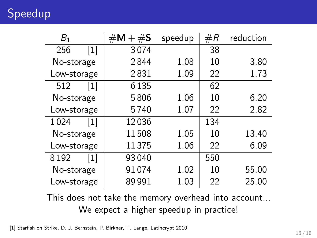Speedup

| B <sub>1</sub> |       | $\#\mathsf{M} + \#\mathsf{S}$ | speedup | $\#R$ | reduction |
|----------------|-------|-------------------------------|---------|-------|-----------|
| 256            | $[1]$ | 3074                          |         | 38    |           |
| No-storage     |       | 2844                          | 1.08    | 10    | 3.80      |
| Low-storage    |       | 2831                          | 1.09    | 22    | 1.73      |
| 512            | $[1]$ | 6 1 3 5                       |         | 62    |           |
| No-storage     |       | 5806                          | 1.06    | 10    | 6.20      |
| Low-storage    |       | 5740                          | 1.07    | 22    | 2.82      |
| 1024           | $[1]$ | 12036                         |         | 134   |           |
| No-storage     |       | 11508                         | 1.05    | 10    | 13.40     |
| Low-storage    |       | 11 375                        | 1.06    | 22    | 6.09      |
| 8192           | [1]   | 93040                         |         | 550   |           |
| No-storage     |       | 91074                         | 1.02    | 10    | 55.00     |
| Low-storage    |       | 89991                         | 1.03    | 22    | 25.00     |

This does not take the memory overhead into account... We expect a higher speedup in practice!

[1] Starfish on Strike, D. J. Bernstein, P. Birkner, T. Lange, Latincrypt 2010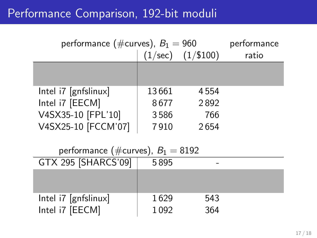## Performance Comparison, 192-bit moduli

|                                              | performance (#curves), $B_1 = 960$ |                       |       |  |  |
|----------------------------------------------|------------------------------------|-----------------------|-------|--|--|
|                                              |                                    | $(1/sec)$ $(1/\$100)$ | ratio |  |  |
|                                              |                                    |                       |       |  |  |
| $\left[ \text{Intel } 7 \right]$ [gnfslinux] | 13661                              | 4554                  |       |  |  |
| Intel i7 [EECM]                              | 8677                               | 2892                  |       |  |  |
| V4SX35-10 [FPL'10]                           | 3586                               | 766                   |       |  |  |
| V4SX25-10 [FCCM'07]                          | 7910                               | 2654                  |       |  |  |
|                                              |                                    |                       |       |  |  |
| performance (#curves), $B_1 = 8192$          |                                    |                       |       |  |  |
| GTX 295 [SHARCS'09]                          | 5895                               |                       |       |  |  |
|                                              |                                    |                       |       |  |  |
|                                              |                                    |                       |       |  |  |
|                                              |                                    |                       |       |  |  |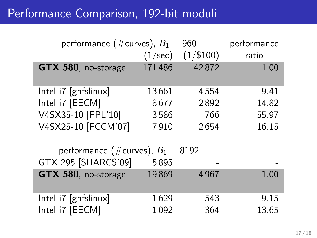## Performance Comparison, 192-bit moduli

| performance (#curves), $B_1 = 960$ | performance |             |       |
|------------------------------------|-------------|-------------|-------|
|                                    | (1/sec)     | $(1/\$100)$ | ratio |
| GTX 580, no-storage                | 171486      | 42872       | 1.00  |
| Intel i7 [gnfslinux]               | 13661       | 4554        | 9.41  |
| Intel i7 [EECM]                    | 8677        | 2892        | 14.82 |
| V4SX35-10 [FPL'10]                 | 3586        | 766         | 55.97 |
| V4SX25-10 [FCCM'07]                | 7910        | 2654        | 16.15 |

| performance (#curves), $B_1 = 8192$ |       |      |       |
|-------------------------------------|-------|------|-------|
| GTX 295 [SHARCS'09]                 | 5895  |      |       |
| GTX 580, no-storage                 | 19869 | 4967 | 1.00  |
| Intel i7 [gnfslinux]                | 1629  | 543  | 9.15  |
| Intel i7 [EECM]                     | 1092  | 364  | 13.65 |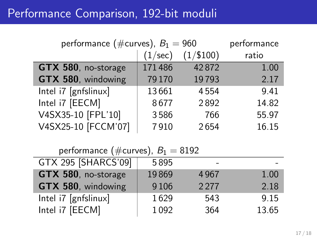## Performance Comparison, 192-bit moduli

| performance (#curves), $B_1 = 960$ | performance      |             |       |
|------------------------------------|------------------|-------------|-------|
|                                    | $(1/\text{sec})$ | $(1/\$100)$ | ratio |
| GTX 580, no-storage                | 171486           | 42872       | 1.00  |
| GTX 580, windowing                 | 79170            | 19793       | 2.17  |
| Intel i7 [gnfslinux]               | 13661            | 4554        | 9.41  |
| Intel i7 [EECM]                    | 8677             | 2892        | 14.82 |
| V4SX35-10 [FPL'10]                 | 3586             | 766         | 55.97 |
| V4SX25-10 [FCCM'07]                | 7910             | 2654        | 16.15 |

| performance (#curves), $B_1 = 8192$ |         |      |       |
|-------------------------------------|---------|------|-------|
| GTX 295 [SHARCS'09]                 | 5895    |      |       |
| GTX 580, no-storage                 | 19869   | 4967 | 1.00  |
| GTX 580, windowing                  | 9 1 0 6 | 2277 | 2.18  |
| Intel i7 [gnfslinux]                | 1629    | 543  | 9.15  |
| Intel i7 [EECM]                     | 1092    | 364  | 13.65 |